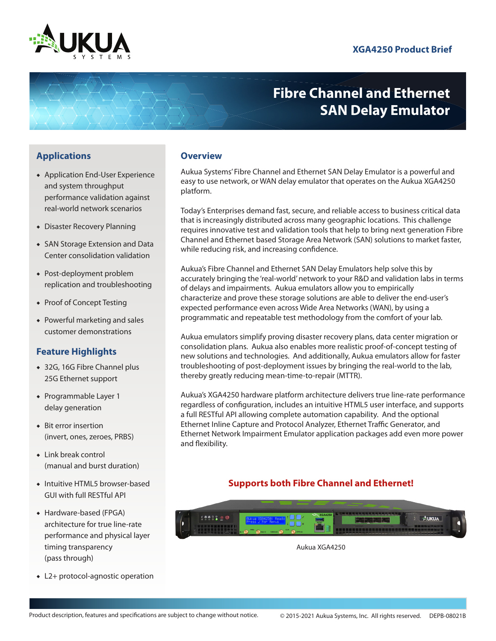

# **Fibre Channel and Ethernet SAN Delay Emulator**

# **Applications Overview**

- ◆ Application End-User Experience and system throughput performance validation against real-world network scenarios
- ◆ Disaster Recovery Planning
- ◆ SAN Storage Extension and Data Center consolidation validation
- ◆ Post-deployment problem replication and troubleshooting
- ◆ Proof of Concept Testing
- ◆ Powerful marketing and sales customer demonstrations

# **Feature Highlights**

- ◆ 32G, 16G Fibre Channel plus 25G Ethernet support
- ◆ Programmable Layer 1 delay generation
- ◆ Bit error insertion (invert, ones, zeroes, PRBS)
- ◆ Link break control (manual and burst duration)
- ◆ Intuitive HTML5 browser-based GUI with full RESTful API
- ◆ Hardware-based (FPGA) architecture for true line-rate performance and physical layer timing transparency (pass through)
- ◆ L2+ protocol-agnostic operation

Aukua Systems' Fibre Channel and Ethernet SAN Delay Emulator is a powerful and easy to use network, or WAN delay emulator that operates on the Aukua XGA4250 platform.

Today's Enterprises demand fast, secure, and reliable access to business critical data that is increasingly distributed across many geographic locations. This challenge requires innovative test and validation tools that help to bring next generation Fibre Channel and Ethernet based Storage Area Network (SAN) solutions to market faster, while reducing risk, and increasing confidence.

Aukua's Fibre Channel and Ethernet SAN Delay Emulators help solve this by accurately bringing the 'real-world' network to your R&D and validation labs in terms of delays and impairments. Aukua emulators allow you to empirically characterize and prove these storage solutions are able to deliver the end-user's expected performance even across Wide Area Networks (WAN), by using a programmatic and repeatable test methodology from the comfort of your lab.

Aukua emulators simplify proving disaster recovery plans, data center migration or consolidation plans. Aukua also enables more realistic proof-of-concept testing of new solutions and technologies. And additionally, Aukua emulators allow for faster troubleshooting of post-deployment issues by bringing the real-world to the lab, thereby greatly reducing mean-time-to-repair (MTTR).

Aukua's XGA4250 hardware platform architecture delivers true line-rate performance regardless of configuration, includes an intuitive HTML5 user interface, and supports a full RESTful API allowing complete automation capability. And the optional Ethernet Inline Capture and Protocol Analyzer, Ethernet Traffic Generator, and Ethernet Network Impairment Emulator application packages add even more power and flexibility.

# **Supports both Fibre Channel and Ethernet!**



Aukua XGA4250